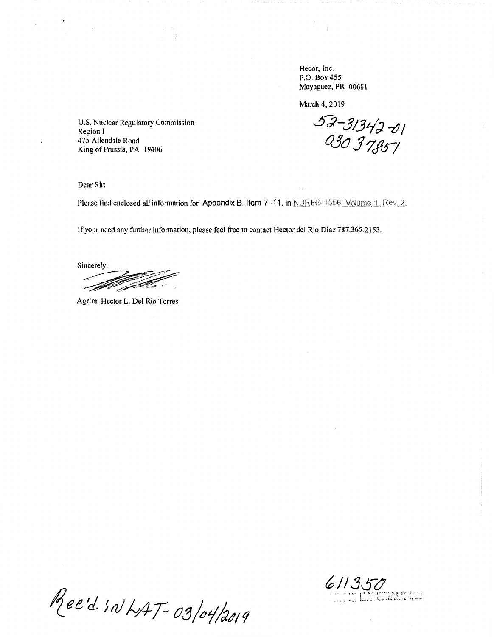Hecor, Inc. P.O. Box 455 Mayaguez, PR 00681

March 4, 2019

52-31342-01<br>030 37857

U.S. Nuclear Regulatory Commission Region I 475 Allendale Road King of Prussia, PA 19406

Dear Sir:

Please find enclosed all information for Appendix B, Item 7 -11, in NUREG-1556. Volume 1, Rev. 2,

If your need any further information, please feel free to contact Hector del Rio Diaz 787.365.2152.

Sincerely, <u>de la completa</u>

Agrim. Hector L. Del Rio Torres

Rec'd. IN LAT-03/04/2019

 $611350$ **MALCON**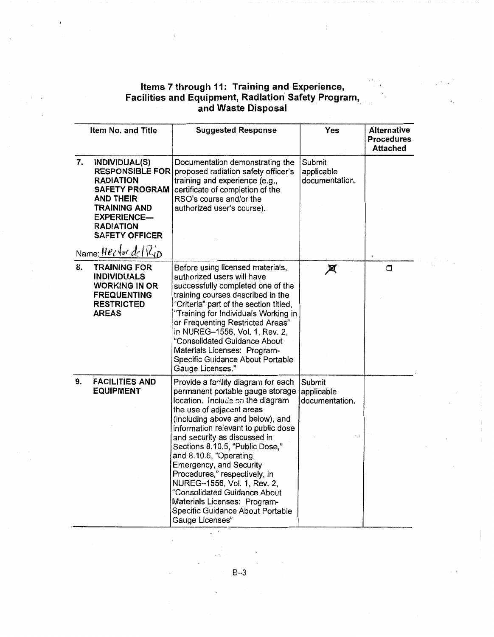## Items 7 through 11: Training and Experience, Facilities and Equipment, Radiation· Safety Program, and Waste Disposal

÷

 $\mathcal{O}(\mathbb{Q})$ 

|    | Item No. and Title                                                                                                                                                                                             | <b>Suggested Response</b>                                                                                                                                                                                                                                                                                                                                                                                                                                                                                                           | Yes                                                 | Alternative<br><b>Procedures</b><br><b>Attached</b> |
|----|----------------------------------------------------------------------------------------------------------------------------------------------------------------------------------------------------------------|-------------------------------------------------------------------------------------------------------------------------------------------------------------------------------------------------------------------------------------------------------------------------------------------------------------------------------------------------------------------------------------------------------------------------------------------------------------------------------------------------------------------------------------|-----------------------------------------------------|-----------------------------------------------------|
| 7. | INDIVIDUAL(S)<br><b>RADIATION</b><br><b>SAFETY PROGRAM</b><br><b>AND THEIR</b><br><b>TRAINING AND</b><br><b>EXPERIENCE-</b><br><b>RADIATION</b><br><b>SAFETY OFFICER</b><br>Name: Hector $de(R_{1D}^{\prime})$ | Documentation demonstrating the<br>RESPONSIBLE FOR proposed radiation safety officer's<br>training and experience (e.g.,<br>certificate of completion of the<br>RSO's course and/or the<br>authorized user's course).                                                                                                                                                                                                                                                                                                               | Submit<br>applicable<br>documentation.              |                                                     |
| 8. | <b>TRAINING FOR</b><br><b>INDIVIDUALS</b><br><b>WORKING IN OR</b><br><b>FREQUENTING</b><br><b>RESTRICTED</b><br><b>AREAS</b>                                                                                   | Before using licensed materials,<br>authorized users will have<br>successfully completed one of the<br>training courses described in the<br>"Criteria" part of the section titled,<br>"Training for Individuals Working in<br>or Frequenting Restricted Areas"<br>in NUREG-1556, Vol. 1, Rev. 2,<br>"Consolidated Guidance About<br>Materials Licenses: Program-<br>Specific Guidance About Portable<br>Gauge Licenses."                                                                                                            | 风                                                   | σ                                                   |
| 9. | <b>FACILITIES AND</b><br><b>EQUIPMENT</b>                                                                                                                                                                      | Provide a facility diagram for each<br>permanent portable gauge storage<br>location. Include on the diagram<br>the use of adjacent areas<br>(including above and below), and<br>information relevant to public dose<br>and security as discussed in<br>Sections 8.10.5, "Public Dose,"<br>and 8.10.6, "Operating,<br>Emergency, and Security<br>Procedures," respectively, in<br>NUREG-1556, Vol. 1, Rev. 2,<br>"Consolidated Guidance About<br>Materials Licenses: Program-<br>Specific Guidance About Portable<br>Gauge Licenses" | Submit<br>applicable<br>documentation.<br>$t\!=\!T$ |                                                     |

8--3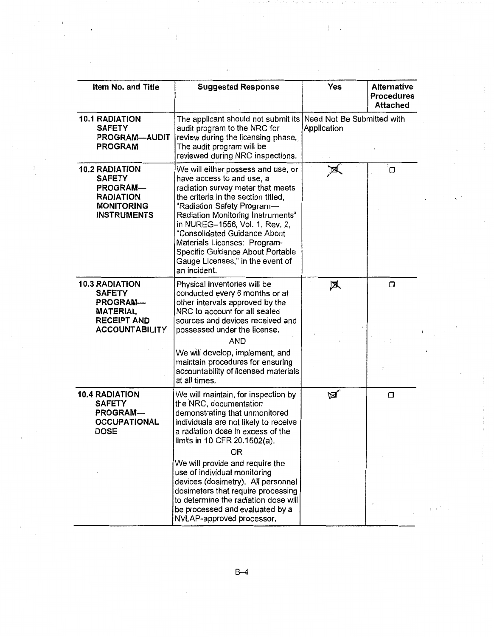| Item No. and Title                                                                                                       | <b>Suggested Response</b>                                                                                                                                                                                                                                                                                                                                                                                | Yes                                       | <b>Alternative</b><br><b>Procedures</b><br><b>Attached</b> |
|--------------------------------------------------------------------------------------------------------------------------|----------------------------------------------------------------------------------------------------------------------------------------------------------------------------------------------------------------------------------------------------------------------------------------------------------------------------------------------------------------------------------------------------------|-------------------------------------------|------------------------------------------------------------|
| <b>10.1 RADIATION</b><br><b>SAFETY</b><br>PROGRAM-AUDIT<br><b>PROGRAM</b>                                                | The applicant should not submit its<br>audit program to the NRC for<br>review during the licensing phase,<br>The audit program will be<br>reviewed during NRC inspections.                                                                                                                                                                                                                               | Need Not Be Submitted with<br>Application |                                                            |
| <b>10.2 RADIATION</b><br><b>SAFETY</b><br><b>PROGRAM-</b><br><b>RADIATION</b><br><b>MONITORING</b><br><b>INSTRUMENTS</b> | We will either possess and use, or<br>have access to and use, a<br>radiation survey meter that meets<br>the criteria in the section titled,<br>"Radiation Safety Program-<br>Radiation Monitoring Instruments"<br>in NUREG-1556, Vol. 1, Rev. 2,<br>"Consolidated Guidance About<br>Materials Licenses: Program-<br>Specific Guidance About Portable<br>Gauge Licenses," in the event of<br>an incident. |                                           | σ                                                          |
| <b>10.3 RADIATION</b><br><b>SAFETY</b><br>PROGRAM-<br><b>MATERIAL</b><br><b>RECEIPT AND</b><br><b>ACCOUNTABILITY</b>     | Physical inventories will be<br>conducted every 6 months or at<br>other intervals approved by the<br>NRC to account for all sealed<br>sources and devices received and<br>possessed under the license.<br><b>AND</b>                                                                                                                                                                                     | 风                                         | σ                                                          |
|                                                                                                                          | We will develop, implement, and<br>maintain procedures for ensuring<br>accountability of licensed materials<br>at all times.                                                                                                                                                                                                                                                                             |                                           |                                                            |
| <b>10.4 RADIATION</b><br><b>SAFETY</b><br>PROGRAM-<br><b>OCCUPATIONAL</b><br><b>DOSE</b>                                 | We will maintain, for inspection by<br>the NRC, documentation<br>demonstrating that unmonitored<br>individuals are not likely to receive<br>a radiation dose in excess of the<br>limits in 10 CFR 20.1502(a).                                                                                                                                                                                            | ∖⊠                                        | $\Box$                                                     |
|                                                                                                                          | <b>OR</b><br>We will provide and require the<br>use of individual monitoring<br>devices (dosimetry). All personnel<br>dosimeters that require processing<br>to determine the radiation dose will<br>be processed and evaluated by a<br>NVLAP-approved processor.                                                                                                                                         |                                           |                                                            |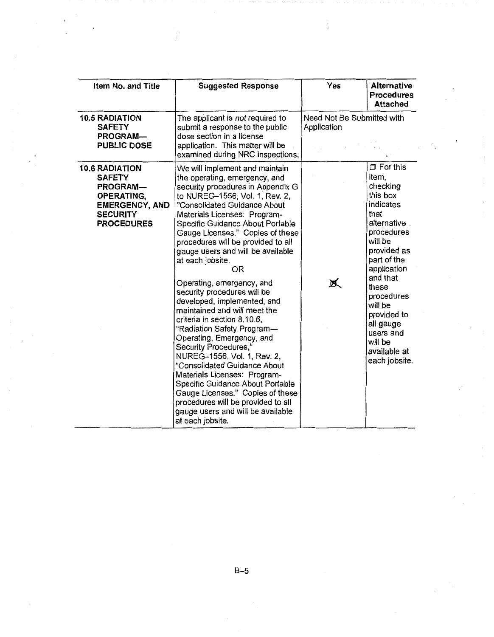| Item No. and Title                                                                                                                       | <b>Suggested Response</b>                                                                                                                                                                                                                                                                                                                                                                                                                                                                                                                                                                                                                                                                                                                                                                                                                                                                               | Yes                                       | Alternative<br><b>Procedures</b><br><b>Attached</b>                                                                                                                                                                                                                                            |
|------------------------------------------------------------------------------------------------------------------------------------------|---------------------------------------------------------------------------------------------------------------------------------------------------------------------------------------------------------------------------------------------------------------------------------------------------------------------------------------------------------------------------------------------------------------------------------------------------------------------------------------------------------------------------------------------------------------------------------------------------------------------------------------------------------------------------------------------------------------------------------------------------------------------------------------------------------------------------------------------------------------------------------------------------------|-------------------------------------------|------------------------------------------------------------------------------------------------------------------------------------------------------------------------------------------------------------------------------------------------------------------------------------------------|
| <b>10.5 RADIATION</b><br><b>SAFETY</b><br><b>PROGRAM-</b><br><b>PUBLIC DOSE</b>                                                          | The applicant is not required to<br>submit a response to the public<br>dose section in a license<br>application. This matter will be<br>examined during NRC inspections.                                                                                                                                                                                                                                                                                                                                                                                                                                                                                                                                                                                                                                                                                                                                | Need Not Be Submitted with<br>Application |                                                                                                                                                                                                                                                                                                |
| <b>10.6 RADIATION</b><br><b>SAFETY</b><br><b>PROGRAM-</b><br>OPERATING,<br><b>EMERGENCY, AND</b><br><b>SECURITY</b><br><b>PROCEDURES</b> | We will implement and maintain<br>the operating, emergency, and<br>security procedures in Appendix G<br>to NUREG-1556, Vol. 1, Rev. 2,<br>"Consolidated Guidance About<br>Materials Licenses: Program-<br>Specific Guidance About Portable<br>Gauge Licenses." Copies of these<br>procedures will be provided to all<br>gauge users and will be available<br>at each jobsite.<br>OR<br>Operating, emergency, and<br>security procedures will be<br>developed, implemented, and<br>maintained and will meet the<br>criteria in section 8.10.6,<br>"Radiation Safety Program-<br>Operating, Emergency, and<br>Security Procedures,"<br>NUREG-1556, Vol. 1, Rev. 2,<br>"Consolidated Guidance About<br>Materials Licenses: Program-<br>Specific Guidance About Portable<br>Gauge Licenses." Copies of these<br>procedures will be provided to all<br>gauge users and will be available<br>at each jobsite. | 赏                                         | $\Box$ For this<br>item,<br>checking<br>this box<br>indicates<br>that<br>alternative.<br>procedures<br>will be<br>provided as<br>part of the<br>application<br>and that<br>these<br>procedures<br>will be<br>provided to<br>all gauge<br>users and<br>will be<br>available at<br>each jobsite. |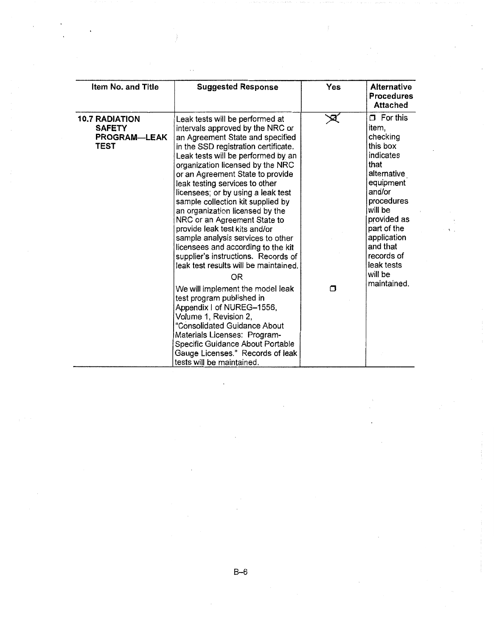| Item No. and Title                                             | <b>Suggested Response</b>                                                                                                                                                                                                                                                                                                                                                                                                                                                                                                                                                                                                                                                                                                                                                                                                                                                                                                                   | Yes    | <b>Alternative</b><br><b>Procedures</b><br><b>Attached</b>                                                                                                                                                                                          |
|----------------------------------------------------------------|---------------------------------------------------------------------------------------------------------------------------------------------------------------------------------------------------------------------------------------------------------------------------------------------------------------------------------------------------------------------------------------------------------------------------------------------------------------------------------------------------------------------------------------------------------------------------------------------------------------------------------------------------------------------------------------------------------------------------------------------------------------------------------------------------------------------------------------------------------------------------------------------------------------------------------------------|--------|-----------------------------------------------------------------------------------------------------------------------------------------------------------------------------------------------------------------------------------------------------|
| <b>10.7 RADIATION</b><br><b>SAFETY</b><br>PROGRAM-LEAK<br>TEST | Leak tests will be performed at<br>intervals approved by the NRC or<br>an Agreement State and specified<br>in the SSD registration certificate.<br>Leak tests will be performed by an<br>organization licensed by the NRC<br>or an Agreement State to provide<br>leak testing services to other<br>licensees; or by using a leak test<br>sample collection kit supplied by<br>an organization licensed by the<br>NRC or an Agreement State to<br>provide leak test kits and/or<br>sample analysis services to other<br>licensees and according to the kit<br>supplier's instructions. Records of<br>leak test results will be maintained.<br>0R<br>We will implement the model leak<br>test program published in<br>Appendix I of NUREG-1556,<br>Volume 1, Revision 2,<br>"Consolidated Guidance About<br>Materials Licenses: Program-<br>Specific Guidance About Portable<br>Gauge Licenses." Records of leak<br>tests will be maintained. | ⊠<br>π | $\Box$ For this<br>item,<br>checking<br>this box<br>indicates<br>that<br>alternative<br>equipment<br>and/or<br>procedures<br>will be<br>provided as<br>part of the<br>application<br>and that<br>records of<br>leak tests<br>will be<br>maintained. |